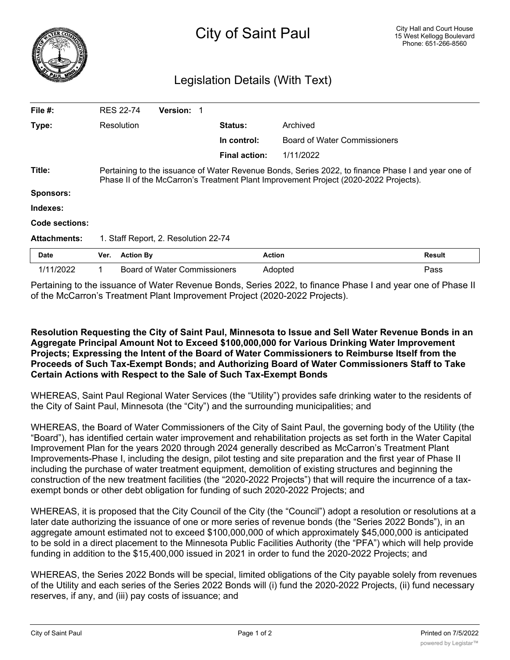

## Legislation Details (With Text)

| File #:             |                                                                                                                                                                                            | <b>RES 22-74</b> | <b>Version:</b>                     |                      |                              |               |
|---------------------|--------------------------------------------------------------------------------------------------------------------------------------------------------------------------------------------|------------------|-------------------------------------|----------------------|------------------------------|---------------|
| Type:               |                                                                                                                                                                                            | Resolution       |                                     | <b>Status:</b>       | Archived                     |               |
|                     |                                                                                                                                                                                            |                  |                                     | In control:          | Board of Water Commissioners |               |
|                     |                                                                                                                                                                                            |                  |                                     | <b>Final action:</b> | 1/11/2022                    |               |
| Title:              | Pertaining to the issuance of Water Revenue Bonds, Series 2022, to finance Phase I and year one of<br>Phase II of the McCarron's Treatment Plant Improvement Project (2020-2022 Projects). |                  |                                     |                      |                              |               |
| <b>Sponsors:</b>    |                                                                                                                                                                                            |                  |                                     |                      |                              |               |
| Indexes:            |                                                                                                                                                                                            |                  |                                     |                      |                              |               |
| Code sections:      |                                                                                                                                                                                            |                  |                                     |                      |                              |               |
| <b>Attachments:</b> | 1. Staff Report, 2. Resolution 22-74                                                                                                                                                       |                  |                                     |                      |                              |               |
| <b>Date</b>         | Ver.                                                                                                                                                                                       | <b>Action By</b> |                                     |                      | <b>Action</b>                | <b>Result</b> |
| 1/11/2022           |                                                                                                                                                                                            |                  | <b>Board of Water Commissioners</b> |                      | Adopted                      | Pass          |

Pertaining to the issuance of Water Revenue Bonds, Series 2022, to finance Phase I and year one of Phase II of the McCarron's Treatment Plant Improvement Project (2020-2022 Projects).

## **Resolution Requesting the City of Saint Paul, Minnesota to Issue and Sell Water Revenue Bonds in an Aggregate Principal Amount Not to Exceed \$100,000,000 for Various Drinking Water Improvement Projects; Expressing the Intent of the Board of Water Commissioners to Reimburse Itself from the Proceeds of Such Tax-Exempt Bonds; and Authorizing Board of Water Commissioners Staff to Take Certain Actions with Respect to the Sale of Such Tax-Exempt Bonds**

WHEREAS, Saint Paul Regional Water Services (the "Utility") provides safe drinking water to the residents of the City of Saint Paul, Minnesota (the "City") and the surrounding municipalities; and

WHEREAS, the Board of Water Commissioners of the City of Saint Paul, the governing body of the Utility (the "Board"), has identified certain water improvement and rehabilitation projects as set forth in the Water Capital Improvement Plan for the years 2020 through 2024 generally described as McCarron's Treatment Plant Improvements-Phase I, including the design, pilot testing and site preparation and the first year of Phase II including the purchase of water treatment equipment, demolition of existing structures and beginning the construction of the new treatment facilities (the "2020-2022 Projects") that will require the incurrence of a taxexempt bonds or other debt obligation for funding of such 2020-2022 Projects; and

WHEREAS, it is proposed that the City Council of the City (the "Council") adopt a resolution or resolutions at a later date authorizing the issuance of one or more series of revenue bonds (the "Series 2022 Bonds"), in an aggregate amount estimated not to exceed \$100,000,000 of which approximately \$45,000,000 is anticipated to be sold in a direct placement to the Minnesota Public Facilities Authority (the "PFA") which will help provide funding in addition to the \$15,400,000 issued in 2021 in order to fund the 2020-2022 Projects; and

WHEREAS, the Series 2022 Bonds will be special, limited obligations of the City payable solely from revenues of the Utility and each series of the Series 2022 Bonds will (i) fund the 2020-2022 Projects, (ii) fund necessary reserves, if any, and (iii) pay costs of issuance; and